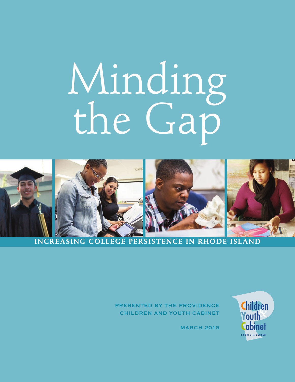# Minding the Gap



# **INCREASING COLLEGE PERSISTENCE IN RHODE ISLAND**

PRESENTED BY THE PROVIDENCE CHILDREN AND YOUTH CABINET **Children** outh abinet

**MARCH 2015**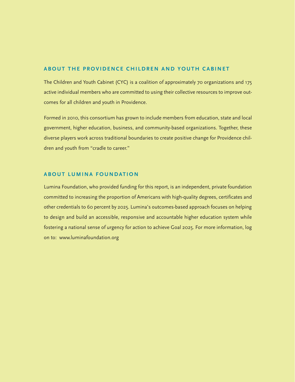## **ABOUT THE PROVIDENCE CHILDREN AND YOUTH CABINET**

The Children and Youth Cabinet (CYC) is a coalition of approximately 70 organizations and 175 active individual members who are committed to using their collective resources to improve outcomes for all children and youth in Providence.

Formed in 2010, this consortium has grown to include members from education, state and local government, higher education, business, and community-based organizations. Together, these diverse players work across traditional boundaries to create positive change for Providence children and youth from "cradle to career."

## **ABOUT LUMINA FOUNDATION**

Lumina Foundation, who provided funding for this report, is an independent, private foundation committed to increasing the proportion of Americans with high-quality degrees, certificates and other credentials to 60 percent by 2025. Lumina's outcomes-based approach focuses on helping to design and build an accessible, responsive and accountable higher education system while fostering a national sense of urgency for action to achieve Goal 2025. For more information, log on to: www.luminafoundation.org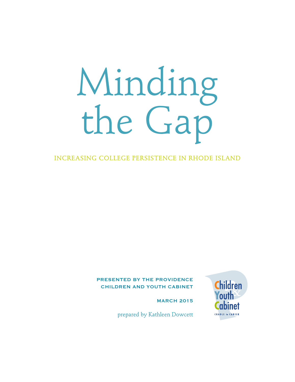# Minding the Gap

INCREASING COLLEGE PERSISTENCE IN RHODE ISLAND

## PRESENTED BY THE PROVIDENCE CHILDREN AND YOUTH CABINET

**MARCH 2015** 



prepared by Kathleen Dowcett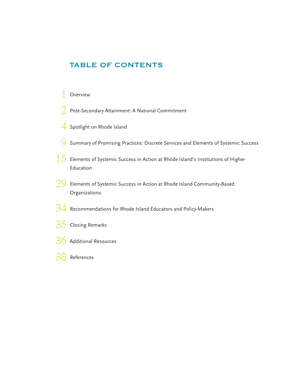# TABLE OF CONTENTS

## 1 Overview

- $2$  Post-Secondary Attainment: A National Commitment
- 4 Spotlight on Rhode Island
- 9 Summary of Promising Practices: Discrete Services and Elements of Systemic Success
- $15$  Elements of Systemic Success in Action at Rhode Island's Institutions of Higher Education
- $29\,$  Elements of Systemic Success in Action at Rhode Island Community-Based Organizations
- $34$  Recommendations for Rhode Island Educators and Policy-Makers
- 35 Closing Remarks
- 36 Additional Resources
- 38 References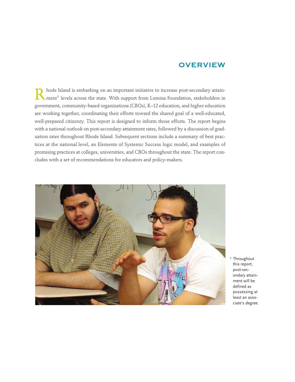## **OVERVIEW**

Rhode Island is embarking on an important initiative to increase post-secondary attain-<br>ment<sup>1</sup> levels across the state. With support from Lumina Foundation, stakeholders in government, community-based organizations (CBOs), K–12 education, and higher education are working together, coordinating their efforts toward the shared goal of a well-educated, well-prepared citizenry. This report is designed to inform those efforts. The report begins with a national outlook on post-secondary attainment rates, followed by a discussion of graduation rates throughout Rhode Island. Subsequent sections include a summary of best practices at the national level, an Elements of Systemic Success logic model, and examples of promising practices at colleges, universities, and CBOs throughout the state. The report concludes with a set of recommendations for educators and policy-makers.



1 Throughout this report, post-secondary attainment will be defined as possessing at least an associate's degree.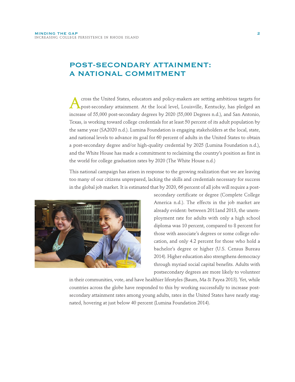# POST-SECONDARY ATTAINMENT: A NATIONAL COMMITMENT

Across the United States, educators and policy-makers are setting ambitious targets for post-secondary attainment. At the local level, Louisville, Kentucky, has pledged an increase of 55,000 post-secondary degrees by 2020 (55,000 Degrees n.d.), and San Antonio, Texas, is working toward college credentials for at least 50 percent of its adult population by the same year (SA2020 n.d.). Lumina Foundation is engaging stakeholders at the local, state, and national levels to advance its goal for 60 percent of adults in the United States to obtain a post-secondary degree and/or high-quality credential by 2025 (Lumina Foundation n.d.), and the White House has made a commitment to reclaiming the country's position as first in the world for college graduation rates by 2020 (The White House n.d.)

This national campaign has arisen in response to the growing realization that we are leaving too many of our citizens unprepared, lacking the skills and credentials necessary for success in the global job market. It is estimated that by 2020, 66 percent of all jobs will require a post-



secondary certificate or degree (Complete College America n.d.). The effects in the job market are already evident: between 2011and 2013, the unemployment rate for adults with only a high school diploma was 10 percent, compared to 8 percent for those with associate's degrees or some college education, and only 4.2 percent for those who hold a bachelor's degree or higher (U.S. Census Bureau 2014). Higher education also strengthens democracy through myriad social capital benefits. Adults with postsecondary degrees are more likely to volunteer

in their communities, vote, and have healthier lifestyles (Baum, Ma & Payea 2013). Yet, while countries across the globe have responded to this by working successfully to increase postsecondary attainment rates among young adults, rates in the United States have nearly stagnated, hovering at just below 40 percent (Lumina Foundation 2014).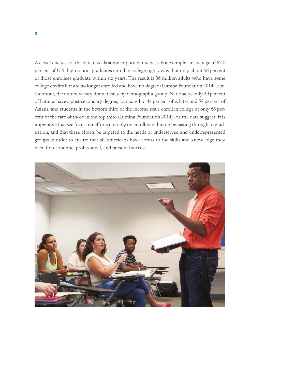A closer analysis of the data reveals some important nuances. For example, an average of 62.5 percent of U.S. high school graduates enroll in college right away, but only about 56 percent of those enrollees graduate within six years. The result is 36 million adults who have some college credits but are no longer enrolled and have no degree (Lumina Foundation 2014). Furthermore, the numbers vary dramatically by demographic group. Nationally, only 20 percent of Latinos have a post-secondary degree, compared to 44 percent of whites and 59 percent of Asians, and students in the bottom third of the income scale enroll in college at only 66 percent of the rate of those in the top third (Lumina Foundation 2014). As the data suggest, it is imperative that we focus our efforts not only on enrollment but on persisting through to graduation, and that these efforts be targeted to the needs of underserved and underrepresented groups in order to ensure that all Americans have access to the skills and knowledge they need for economic, professional, and personal success.

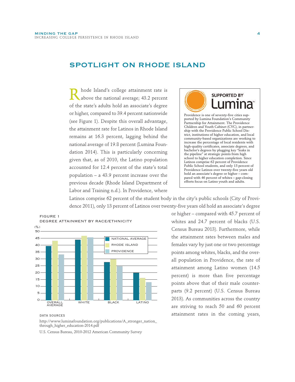## SPOTLIGHT ON RHODE ISLAND

Rhode Island's college attainment rate is<br>above the national average; 43.2 percent of the state's adults hold an associate's degree or higher, compared to 39.4 percent nationwide (see Figure 1). Despite this overall advantage, the attainment rate for Latinos in Rhode Island remains at 16.3 percent, lagging behind the national average of 19.8 percent (Lumina Foundation 2014). This is particularly concerning given that, as of 2010, the Latino population accounted for 12.4 percent of the state's total population – a 43.9 percent increase over the previous decade (Rhode Island Department of Labor and Training n.d.). In Providence, where



Latinos comprise 62 percent of the student body in the city's public schools (City of Providence 2011), only 13 percent of Latinos over twenty-five years old hold an associate's degree



http://www.luminafoundation.org/publications/A\_stronger\_nation\_ through\_higher\_education-2014.pdf

U.S. Census Bureau, 2010-2012 American Community Survey

or higher – compared with 45.7 percent of whites and 24.7 percent of blacks (U.S. Census Bureau 2013). Furthermore, while the attainment rates between males and females vary by just one or two percentage points among whites, blacks, and the overall population in Providence, the rate of attainment among Latino women (14.5 percent) is more than five percentage points above that of their male counterparts (9.2 percent) (U.S. Census Bureau 2013). As communities across the country are striving to reach 50 and 60 percent para sources attainment rates in the coming years,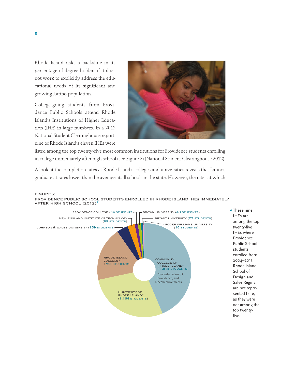Rhode Island risks a backslide in its percentage of degree holders if it does not work to explicitly address the educational needs of its significant and growing Latino population.

College-going students from Providence Public Schools attend Rhode Island's Institutions of Higher Education (IHE) in large numbers. In a 2012 National Student Clearinghouse report, nine of Rhode Island's eleven IHEs were



listed among the top twenty-five most common institutions for Providence students enrolling in college immediately after high school (see Figure 2) (National Student Clearinghouse 2012).

A look at the completion rates at Rhode Island's colleges and universities reveals that Latinos graduate at rates lower than the average at all schools in the state. However, the rates at which



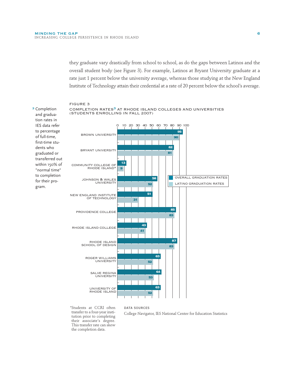they graduate vary drastically from school to school, as do the gaps between Latinos and the overall student body (see Figure 3). For example, Latinos at Bryant University graduate at a rate just 1 percent below the university average, whereas those studying at the New England Institute of Technology attain their credential at a rate of 20 percent below the school's average.

#### FIGURE 3

gram.



\*Students at CCRI often transfer to a four-year institution prior to completing their associate's degree. This transfer rate can skew the completion data.

College Navigator, IES National Center for Education Statistics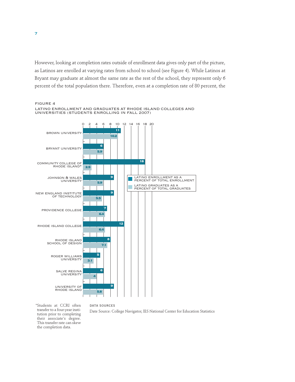However, looking at completion rates outside of enrollment data gives only part of the picture, as Latinos are enrolled at varying rates from school to school (see Figure 4). While Latinos at Bryant may graduate at almost the same rate as the rest of the school, they represent only 6 percent of the total population there. Therefore, even at a completion rate of 80 percent, the



FIGURE 4 LATINO ENROLLMENT AND GRADUATES AT RHODE ISLAND COLLEGES AND

\*Students at CCRI often transfer to a four-year institution prior to completing their associate's degree. This transfer rate can skew the completion data.

data sources

Date Source: College Navigator, IES National Center for Education Statistics

7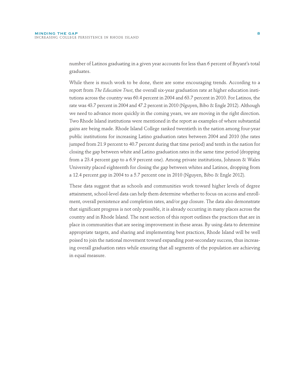number of Latinos graduating in a given year accounts for less than 6 percent of Bryant's total graduates.

While there is much work to be done, there are some encouraging trends. According to a report from *The Education Trust*, the overall six-year graduation rate at higher education institutions across the country was 60.4 percent in 2004 and 63.7 percent in 2010. For Latinos, the rate was 43.7 percent in 2004 and 47.2 percent in 2010 (Nguyen, Bibo & Engle 2012). Although we need to advance more quickly in the coming years, we are moving in the right direction. Two Rhode Island institutions were mentioned in the report as examples of where substantial gains are being made. Rhode Island College ranked twentieth in the nation among four-year public institutions for increasing Latino graduation rates between 2004 and 2010 (the rates jumped from 21.9 percent to 40.7 percent during that time period) and tenth in the nation for closing the gap between white and Latino graduation rates in the same time period (dropping from a 23.4 percent gap to a 6.9 percent one). Among private institutions, Johnson & Wales University placed eighteenth for closing the gap between whites and Latinos, dropping from a 12.4 percent gap in 2004 to a 5.7 percent one in 2010 (Nguyen, Bibo & Engle 2012).

These data suggest that as schools and communities work toward higher levels of degree attainment, school-level data can help them determine whether to focus on access and enrollment, overall persistence and completion rates, and/or gap closure. The data also demonstrate that significant progress is not only possible, it is already occurring in many places across the country and in Rhode Island. The next section of this report outlines the practices that are in place in communities that are seeing improvement in these areas. By using data to determine appropriate targets, and sharing and implementing best practices, Rhode Island will be well poised to join the national movement toward expanding post-secondary success, thus increasing overall graduation rates while ensuring that all segments of the population are achieving in equal measure.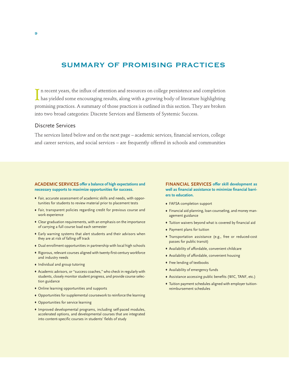## SUMMARY OF PROMISING PRACTICES

In recent years, the influx of attention and resources on college persistence and completion<br>has yielded some encouraging results, along with a growing body of literature highlighting n recent years, the influx of attention and resources on college persistence and completion promising practices. A summary of those practices is outlined in this section. They are broken into two broad categories: Discrete Services and Elements of Systemic Success.

## Discrete Services

The services listed below and on the next page – academic services, financial services, college and career services, and social services – are frequently offered in schools and communities

#### **ACADEMIC SERVICES offer a balance of high expectations and necessary supports to maximize opportunities for success.**

- © Fair, accurate assessment of academic skills and needs, with opportunities for students to review material prior to placement tests
- © Fair, transparent policies regarding credit for previous course and work experience
- © Clear graduation requirements, with an emphasis on the importance of carrying a full course load each semester
- © Early warning systems that alert students and their advisors when they are at risk of falling off track
- © Dual enrollment opportunities in partnership with local high schools
- © Rigorous, relevant courses aligned with twenty-first-century workforce and industry needs
- © Individual and group tutoring
- © Academic advisors, or "success coaches," who check in regularly with students, closely monitor student progress, and provide course selection guidance
- © Online learning opportunities and supports
- © Opportunities for supplemental coursework to reinforce the learning
- © Opportunities for service learning
- © Improved developmental programs, including self-paced modules, accelerated options, and developmental courses that are integrated into content-specific courses in students' fields of study

#### **FINANCIAL SERVICES offer skill development as well as financial assistance to minimize financial barriers to education.**

- © FAFSA completion support
- © Financial aid planning, loan counseling, and money management guidance
- © Tuition waivers beyond what is covered by financial aid
- © Payment plans for tuition
- © Transportation assistance (e.g., free or reduced-cost passes for public transit)
- © Availability of affordable, convenient childcare
- © Availability of affordable, convenient housing
- $\bullet$  Free lending of textbooks
- © Availability of emergency funds
- © Assistance accessing public benefits (WIC, TANF, etc.)
- © Tuition payment schedules aligned with employer tuitionreimbursement schedules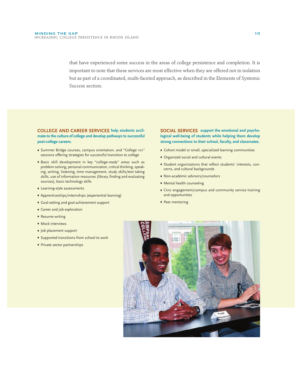that have experienced some success in the areas of college persistence and completion. It is important to note that these services are most effective when they are offered not in isolation but as part of a coordinated, multi-faceted approach, as described in the Elements of Systemic Success section.

**COLLEGE AND CAREER SERVICES help students acclimate to the culture of college and develop pathways to successful post-college careers.** 

- © Summer Bridge courses, campus orientation, and "College 101" sessions offering strategies for successful transition to college
- © Basic skill development in key "college-ready" areas such as problem-solving, personal communication, critical thinking, speaking, writing, listening, time management, study skills/test taking skills, use of information resources (library, finding and evaluating sources), basic technology skills
- © Learning-style assessments
- © Apprenticeships/internships (experiential learning)
- © Goal-setting and goal-achievement support
- ◆ Career and job exploration
- ◆ Resume writing
- ◆ Mock interviews
- © Job placement support
- © Supported transitions from school to work
- © Private sector partnerships

**SOCIAL SERVICES support the emotional and psychological well-being of students while helping them develop strong connections to their school, faculty, and classmates.** 

- © Cohort model or small, specialized learning communities
- © Organized social and cultural events
- © Student organizations that reflect students' interests, concerns, and cultural backgrounds
- © Non-academic advisors/counselors
- $\bullet$  Mental health counseling
- © Civic engagement/campus and community service training and opportunities
- ◆ Peer mentoring

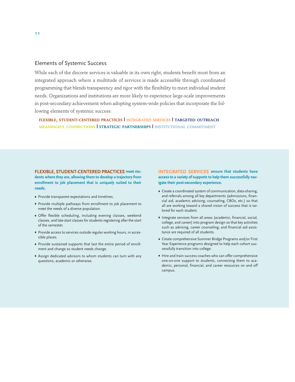## Elements of Systemic Success

While each of the discrete services is valuable in its own right, students benefit most from an integrated approach where a multitude of services is made accessible through coordinated programming that blends transparency and rigor with the flexibility to meet individual student needs. Organizations and institutions are more likely to experience large-scale improvements in post-secondary achievement when adopting system-wide policies that incorporate the following elements of systemic success:

**FLEXIBLE, STUDENT-CENTERED PRACTICES | INTEGRATED SERVICES | TARGETED OUTREACH MEANINGFUL CONNECTIONS | STRATEGIC PARTNERSHIPS | INSTITUTIONAL COMMITMENT**

**FLEXIBLE, STUDENT-CENTERED PRACTICES meet students where they are, allowing them to develop a trajectory from enrollment to job placement that is uniquely suited to their needs.** 

- © Provide transparent expectations and timelines.
- © Provide multiple pathways from enrollment to job placement to meet the needs of a diverse population.
- © Offer flexible scheduling, including evening classes, weekend classes, and late-start classes for students registering after the start of the semester.
- © Provide access to services outside regular working hours, in accessible places.
- © Provide sustained supports that last the entire period of enrollment and change as student needs change.
- © Assign dedicated advisors to whom students can turn with any questions, academic or otherwise.

**INTEGRATED SERVICES ensure that students have access to a variety of supports to help them successfully navigate their post-secondary experience.**

- © Create a coordinated system of communication, data-sharing, and referrals among all key departments (admissions, financial aid, academic advising, counseling, CBOs, etc.) so that all are working toward a shared vision of success that is tailored for each student.
- © Integrate services from all areas (academic, financial, social, college, and career) into program design so that key activities such as advising, career counseling, and financial aid assistance are required of all students.
- © Create comprehensive Summer Bridge Programs and/or First Year Experience programs designed to help each cohort successfully transition into college.
- $\bullet$  Hire and train success coaches who can offer comprehensive one-on-one support to students, connecting them to academic, personal, financial, and career resources on and off campus.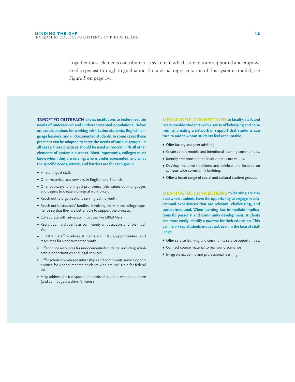Together these elements contribute to a system in which students are supported and empowered to persist through to graduation. For a visual representation of this systemic model, see Figure 5 on page 14.

**TARGETED OUTREACH allows institutions to better meet the needs of underserved and underrepresented populations. Below are considerations for working with Latino students, English language learners, and undocumented students. In some cases these practices can be adapted to serve the needs of various groups. In all cases, these practices should be used** *in concert with* **all other elements of systemic success. Most importantly, colleges must know whom they are serving, who is underrepresented, and what the specific needs, assets, and barriers are for each group.** 

- $\blacklozenge$  Hire bilingual staff.
- © Offer materials and services in English and Spanish.
- © Offer pathways to bilingual proficiency (this values both languages and begins to create a bilingual workforce).
- © Reach out to organizations serving Latino youth.
- © Reach out to students' families, involving them in the college experience so that they are better able to support the process.
- © Collaborate with advocacy initiatives like DREAMers.
- © Recruit Latino students as community ambassadors and role models.
- © Hire/train staff to advise students about laws, opportunities, and resources for undocumented youth.
- © Offer online resources for undocumented students, including scholarship opportunities and legal services.
- © Offer scholarship-based internships and community service opportunities for undocumented students who are ineligible for federal aid.
- © Help address the transportation needs of students who do not have (and cannot get) a driver's license.

**MEANINGFUL CONNECTIONS to faculty, staff, and peers provide students with a sense of belonging and community, creating a network of support that students can turn to and to whom students feel accountable.** 

- © Offer faculty and peer advising.
- © Create cohort models and intentional learning communities.
- © Identify and promote the institution's core values.
- © Develop inclusive traditions and celebrations focused on campus-wide community-building.
- © Offer a broad range of social and cultural student groups.

**MEANINGFUL CONNECTIONS to learning are created when students have the opportunity to engage in educational experiences that are relevant, challenging, and transformational. When learning has immediate implications for personal and community development, students can more easily identify a** *purpose* **for their education. This can help keep students motivated, even in the face of challenge.** 

- © Offer service-learning and community service opportunities.
- © Connect course material to real-world scenarios.
- © Integrate academic and professional learning.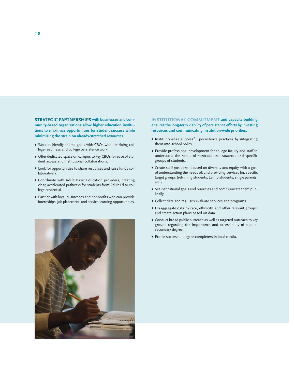**STRATEGIC PARTNERSHIPS with businesses and community-based organizations allow higher education institutions to maximize opportunities for student success while minimizing the strain on already-stretched resources.** 

- © Work to identify shared goals with CBOs who are doing college-readiness and college persistence work.
- © Offer dedicated space on campus to key CBOs for ease of student access and institutional collaborations.
- © Look for opportunities to share resources and raise funds collaboratively.
- © Coordinate with Adult Basic Education providers, creating clear, accelerated pathways for students from Adult Ed to college credential.
- © Partner with local businesses and nonprofits who can provide internships, job placement, and service-learning opportunities.

**INSTITUTIONAL COMMITMENT and capacity building ensures the long-term viability of persistence efforts by investing resources and communicating institution-wide priorities.**

- © Institutionalize successful persistence practices by integrating them into school policy.
- © Provide professional development for college faculty and staff to understand the needs of nontraditional students and specific groups of students.
- © Create staff positions focused on diversity and equity, with a goal of understanding the needs of, and providing services for, specific target groups (returning students, Latino students, single parents, etc.).
- © Set institutional goals and priorities and communicate them publically.
- © Collect data and regularly evaluate services and programs.
- © Disaggregate data by race, ethnicity, and other relevant groups, and create action plans based on data.
- © Conduct broad public outreach as well as targeted outreach to key groups regarding the importance and accessibility of a postsecondary degree.
- © Profile successful degree completers in local media.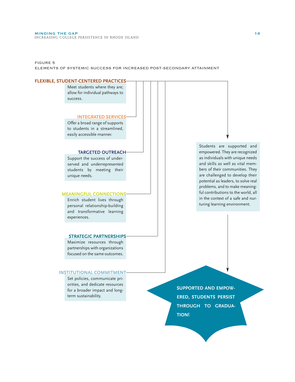FIGURE 5

ELEMENTS OF SYSTEMIC SUCCESS FOR INCREASED POST-SECONDARY ATTAINMENT

#### **INTEGRATED SERVICES** Maximize resources through Enrich student lives through personal relationship-building and transformative learning experiences. Support the success of underserved and underrepresented students by meeting their unique needs. Offer a broad range of supports to students in a streamlined, easily accessible manner. Meet students where they are; allow for individual pathways to success. Students are supported and empowered. They are recognized as individuals with unique needs and skills as well as vital members of their communities. They are challenged to develop their potential as leaders, to solve real problems, and to make meaningful contributions to the world, all in the context of a safe and nurturing learning environment. **FLEXIBLE, STUDENT-CENTERED PRACTICES TARGETED OUTREACH MEANINGFUL CONNECTIONS STRATEGIC PARTNERSHIPS**

partnerships with organizations focused on the same outcomes.

#### **INSTITUTIONAL COMMITMENT**

Set policies, communicate priorities, and dedicate resources for a broader impact and longterm sustainability.

**SUPPORTED AND EMPOW-ERED, STUDENTS PERSIST THROUGH TO GRADUA-TION!**

14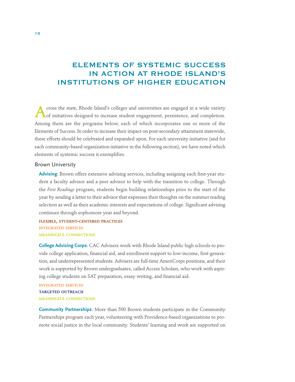# ELEMENTS OF SYSTEMIC SUCCESS IN ACTION AT RHODE ISLAND'S INSTITUTIONS OF HIGHER EDUCATION

Across the state, Rhode Island's colleges and universities are engaged in a wide variety of initiatives designed to increase student engagement, persistence, and completion. Among them are the programs below, each of which incorporates one or more of the Elements of Success. In order to increase their impact on post-secondary attainment statewide, these efforts should be celebrated and expanded upon. For each university initiative (and for each community-based organization initiative in the following section), we have noted which elements of systemic success it exemplifies.

#### Brown University

**Advising**: Brown offers extensive advising services, including assigning each first-year student a faculty advisor and a peer advisor to help with the transition to college. Through the *First Readings* program, students begin building relationships prior to the start of the year by sending a letter to their advisor that expresses their thoughts on the summer reading selection as well as their academic interests and expectations of college. Significant advising continues through sophomore year and beyond.

**FLEXIBLE, STUDENT-CENTERED PRACTICES INTEGRATED SERVICES MEANINGFUL CONNECTIONS**

**College Advising Corps**: CAC Advisers work with Rhode Island public high schools to provide college application, financial aid, and enrollment support to low-income, first-generation, and underrepresented students. Advisers are full-time AmeriCorps positions, and their work is supported by Brown undergraduates, called Access Scholars, who work with aspiring college students on SAT preparation, essay writing, and financial aid.

**INTEGRATED SERVICES TARGETED OUTREACH MEANINGFUL CONNECTIONS**

**Community Partnerships**: More than 500 Brown students participate in the Community Partnerships program each year, volunteering with Providence-based organizations to promote social justice in the local community. Students' learning and work are supported on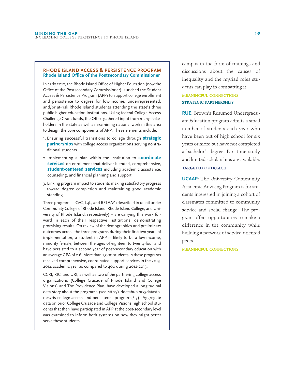#### **RHODE ISLAND ACCESS & PERSISTENCE PROGRAM Rhode Island Office of the Postsecondary Commissioner**

In early 2012, the Rhode Island Office of Higher Education (now the Office of the Postsecondary Commissioner) launched the Student Access & Persistence Program (APP) to support college enrollment and persistence to degree for low-income, underrepresented, and/or at-risk Rhode Island students attending the state's three public higher education institutions. Using federal College Access Challenge Grant funds, the Office gathered input from many stakeholders in the state as well as examining national work in this area to design the core components of APP. These elements include:

- 1. Ensuring successful transitions to college through **strategic partnerships** with college access organizations serving nontraditional students.
- 2. Implementing a plan within the institution to **coordinate services** on enrollment that deliver blended, comprehensive, **student-centered services** including academic assistance, counseling, and financial planning and support.
- 3. Linking program impact to students making satisfactory progress toward degree completion and maintaining good academic standing.

Three programs – C2C, L4L, and RELAAY (described in detail under Community College of Rhode Island, Rhode Island College, and University of Rhode Island, respectively) – are carrying this work forward in each of their respective institutions, demonstrating promising results. On review of the demographics and preliminary outcomes across the three programs during their first two years of implementation, a student in APP is likely to be a low-income, minority female, between the ages of eighteen to twenty-four and have persisted to a second year of post-secondary education with an average GPA of 2.6. More than 1,000 students in these programs received comprehensive, coordinated support services in the 2013- 2014 academic year as compared to 400 during 2012-2013.

CCRI, RIC, and URI, as well as two of the partnering college access organizations (College Crusade of Rhode Island and College Visions) and The Providence Plan, have developed a longitudinal data story about the programs (see http:// ridatahub.org/datastories/ris-college-access-and-persistence-programs/1/). Aggregate data on prior College Crusade and College Visions high school students that then have participated in APP at the post-secondary level was examined to inform both systems on how they might better serve these students.

campus in the form of trainings and discussions about the causes of inequality and the myriad roles students can play in combatting it.

## **MEANINGFUL CONNECTIONS STRATEGIC PARTNERSHIPS**

**RUE**: Brown's Resumed Undergraduate Education program admits a small number of students each year who have been out of high school for six years or more but have not completed a bachelor's degree. Part-time study and limited scholarships are available.

#### **TARGETED OUTREACH**

**UCAAP**: The University-Community Academic Advising Program is for students interested in joining a cohort of classmates committed to community service and social change. The program offers opportunities to make a difference in the community while building a network of service-oriented peers.

**MEANINGFUL CONNECTIONS**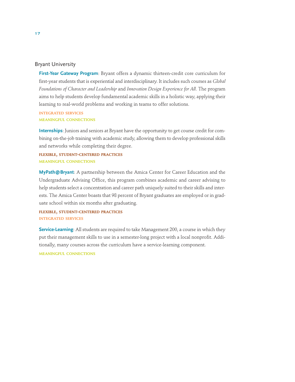## Bryant University

**First-Year Gateway Program**: Bryant offers a dynamic thirteen-credit core curriculum for first-year students that is experiential and interdisciplinary. It includes such courses as *Global Foundations of Character and Leadership* and *Innovation Design Experience for All*. The program aims to help students develop fundamental academic skills in a holistic way, applying their learning to real-world problems and working in teams to offer solutions.

**INTEGRATED SERVICES MEANINGFUL CONNECTIONS**

**Internships**: Juniors and seniors at Bryant have the opportunity to get course credit for combining on-the-job training with academic study, allowing them to develop professional skills and networks while completing their degree.

**FLEXIBLE, STUDENT-CENTERED PRACTICES MEANINGFUL CONNECTIONS**

**MyPath@Bryant**: A partnership between the Amica Center for Career Education and the Undergraduate Advising Office, this program combines academic and career advising to help students select a concentration and career path uniquely suited to their skills and interests. The Amica Center boasts that 98 percent of Bryant graduates are employed or in graduate school within six months after graduating.

**FLEXIBLE, STUDENT-CENTERED PRACTICES INTEGRATED SERVICES**

**Service-Learning**: All students are required to take Management 200, a course in which they put their management skills to use in a semester-long project with a local nonprofit. Additionally, many courses across the curriculum have a service-learning component.

**MEANINGFUL CONNECTIONS**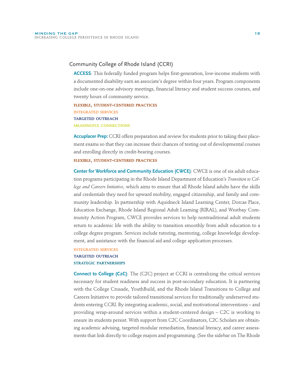## Community College of Rhode Island (CCRI)

**ACCESS**: This federally funded program helps first-generation, low-income students with a documented disability earn an associate's degree within four years. Program components include one-on-one advisory meetings, financial literacy and student success courses, and twenty hours of community service.

**FLEXIBLE, STUDENT-CENTERED PRACTICES INTEGRATED SERVICES TARGETED OUTREACH MEANINGFUL CONNECTIONS**

**Accuplacer Prep:** CCRI offers preparation and review for students prior to taking their placement exams so that they can increase their chances of testing out of developmental courses and enrolling directly in credit-bearing courses.

#### **FLEXIBLE, STUDENT-CENTERED PRACTICES**

**Center for Workforce and Community Education (CWCE)**: CWCE is one of six adult education programs participating in the Rhode Island Department of Education's *Transition to College and Careers Initiative*, which aims to ensure that all Rhode Island adults have the skills and credentials they need for upward mobility, engaged citizenship, and family and community leadership. In partnership with Aquidneck Island Learning Center, Dorcas Place, Education Exchange, Rhode Island Regional Adult Learning (RIRAL), and Westbay Community Action Program, CWCE provides services to help nontraditional adult students return to academic life with the ability to transition smoothly from adult education to a college degree program. Services include tutoring, mentoring, college knowledge development, and assistance with the financial aid and college application processes.

## **INTEGRATED SERVICES TARGETED OUTREACH STRATEGIC PARTNERSHIPS**

**Connect to College (C2C)**: The (C2C) project at CCRI is centralizing the critical services necessary for student readiness and success in post-secondary education. It is partnering with the College Crusade, YouthBuild, and the Rhode Island Transitions to College and Careers Initiative to provide tailored transitional services for traditionally underserved students entering CCRI. By integrating academic, social, and motivational interventions – and providing wrap-around services within a student-centered design – C2C is working to ensure its students persist. With support from C2C Coordinators, C2C Scholars are obtaining academic advising, targeted modular remediation, financial literacy, and career assessments that link directly to college majors and programming. (See the sidebar on The Rhode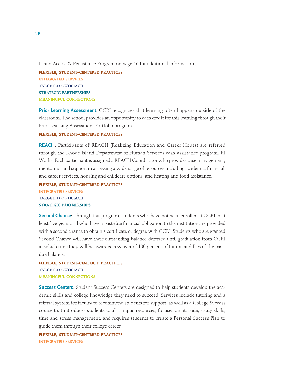Island Access & Persistence Program on page 16 for additional information.)

**FLEXIBLE, STUDENT-CENTERED PRACTICES INTEGRATED SERVICES TARGETED OUTREACH STRATEGIC PARTNERSHIPS MEANINGFUL CONNECTIONS**

**Prior Learning Assessment**: CCRI recognizes that learning often happens outside of the classroom. The school provides an opportunity to earn credit for this learning through their Prior Learning Assessment Portfolio program.

**FLEXIBLE, STUDENT-CENTERED PRACTICES**

**REACH**: Participants of REACH (Realizing Education and Career Hopes) are referred through the Rhode Island Department of Human Services cash assistance program, RI Works. Each participant is assigned a REACH Coordinator who provides case management, mentoring, and support in accessing a wide range of resources including academic, financial, and career services, housing and childcare options, and heating and food assistance.

## **FLEXIBLE, STUDENT-CENTERED PRACTICES INTEGRATED SERVICES TARGETED OUTREACH STRATEGIC PARTNERSHIPS**

**Second Chance**: Through this program, students who have not been enrolled at CCRI in at least five years and who have a past-due financial obligation to the institution are provided with a second chance to obtain a certificate or degree with CCRI. Students who are granted Second Chance will have their outstanding balance deferred until graduation from CCRI at which time they will be awarded a waiver of 100 percent of tuition and fees of the pastdue balance.

**FLEXIBLE, STUDENT-CENTERED PRACTICES TARGETED OUTREACH MEANINGFUL CONNECTIONS**

**Success Centers**: Student Success Centers are designed to help students develop the academic skills and college knowledge they need to succeed. Services include tutoring and a referral system for faculty to recommend students for support, as well as a College Success course that introduces students to all campus resources, focuses on attitude, study skills, time and stress management, and requires students to create a Personal Success Plan to guide them through their college career.

**FLEXIBLE, STUDENT-CENTERED PRACTICES INTEGRATED SERVICES**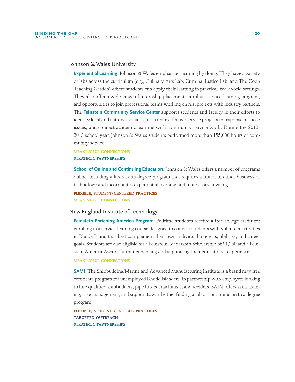## Johnson & Wales University

**Experiential Learning**: Johnson & Wales emphasizes learning by doing. They have a variety of labs across the curriculum (e.g., Culinary Arts Lab, Criminal Justice Lab, and The Coop Teaching Garden) where students can apply their learning in practical, real-world settings. They also offer a wide range of internship placements, a robust service-learning program, and opportunities to join professional teams working on real projects with industry partners. The **Feinstein Community Service Center** supports students and faculty in their efforts to identify local and national social issues, create effective service projects in response to those issues, and connect academic learning with community service work. During the 2012- 2013 school year, Johnson & Wales students performed more than 155,000 hours of community service.

# **MEANINGFUL CONNECTIONS**

**STRATEGIC PARTNERSHIPS**

**School of Online and Continuing Education**: Johnson & Wales offers a number of programs online, including a liberal arts degree program that requires a minor in either business or technology and incorporates experiential learning and mandatory advising.

**FLEXIBLE, STUDENT-CENTERED PRACTICES MEANINGFUL CONNECTIONS**

#### New England Institute of Technology

**Feinstein Enriching America Program**: Fulltime students receive a free college credit for enrolling in a service-learning course designed to connect students with volunteer activities in Rhode Island that best complement their own individual interests, abilities, and career goals. Students are also eligible for a Feinstein Leadership Scholarship of \$1,250 and a Feinstein America Award, further enhancing and supporting their educational experience.

#### **MEANINGFUL CONNECTIONS**

**SAMI**: The Shipbuilding/Marine and Advanced Manufacturing Institute is a brand new free certificate program for unemployed Rhode Islanders. In partnership with employers looking to hire qualified shipbuilders, pipe fitters, machinists, and welders, SAMI offers skills training, case management, and support toward either finding a job or continuing on to a degree program.

**FLEXIBLE, STUDENT-CENTERED PRACTICES TARGETED OUTREACH STRATEGIC PARTNERSHIPS**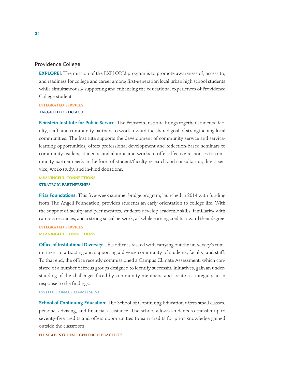## Providence College

**EXPLORE!**: The mission of the EXPLORE! program is to promote awareness of, access to, and readiness for college and career among first-generation local urban high school students while simultaneously supporting and enhancing the educational experiences of Providence College students.

#### **INTEGRATED SERVICES**

#### **TARGETED OUTREACH**

**Feinstein Institute for Public Service**: The Feinstein Institute brings together students, faculty, staff, and community partners to work toward the shared goal of strengthening local communities. The Institute supports the development of community service and servicelearning opportunities; offers professional development and reflection-based seminars to community leaders, students, and alumni; and works to offer effective responses to community partner needs in the form of student/faculty research and consultation, direct-service, work-study, and in-kind donations.

## **MEANINGFUL CONNECTIONS STRATEGIC PARTNERSHIPS**

**Friar Foundations**: This five-week summer bridge program, launched in 2014 with funding from The Angell Foundation, provides students an early orientation to college life. With the support of faculty and peer mentors, students develop academic skills, familiarity with campus resources, and a strong social network, all while earning credits toward their degree. **INTEGRATED SERVICES**

#### **MEANINGFUL CONNECTIONS**

**Office of Institutional Diversity**: This office is tasked with carrying out the university's commitment to attracting and supporting a diverse community of students, faculty, and staff. To that end, the office recently commissioned a Campus Climate Assessment, which consisted of a number of focus groups designed to identify successful initiatives, gain an understanding of the challenges faced by community members, and create a strategic plan in response to the findings.

#### **INSTITUTIONAL COMMITMENT**

**School of Continuing Education**: The School of Continuing Education offers small classes, personal advising, and financial assistance. The school allows students to transfer up to seventy-five credits and offers opportunities to earn credits for prior knowledge gained outside the classroom.

#### **FLEXIBLE, STUDENT-CENTERED PRACTICES**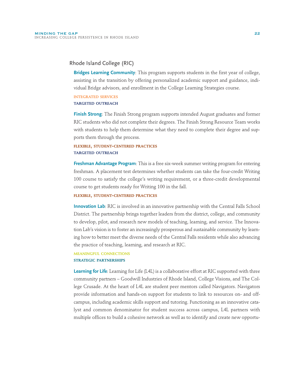## Rhode Island College (RIC)

**Bridges Learning Community**: This program supports students in the first year of college, assisting in the transition by offering personalized academic support and guidance, individual Bridge advisors, and enrollment in the College Learning Strategies course.

#### **INTEGRATED SERVICES**

#### **TARGETED OUTREACH**

**Finish Strong**: The Finish Strong program supports intended August graduates and former RIC students who did not complete their degrees. The Finish Strong Resource Team works with students to help them determine what they need to complete their degree and supports them through the process.

## **FLEXIBLE, STUDENT-CENTERED PRACTICES TARGETED OUTREACH**

**Freshman Advantage Program**: This is a free six-week summer writing program for entering freshman. A placement test determines whether students can take the four-credit Writing 100 course to satisfy the college's writing requirement, or a three-credit developmental course to get students ready for Writing 100 in the fall.

#### **FLEXIBLE, STUDENT-CENTERED PRACTICES**

**Innovation Lab**: RIC is involved in an innovative partnership with the Central Falls School District. The partnership brings together leaders from the district, college, and community to develop, pilot, and research new models of teaching, learning, and service. The Innovation Lab's vision is to foster an increasingly prosperous and sustainable community by learning how to better meet the diverse needs of the Central Falls residents while also advancing the practice of teaching, learning, and research at RIC.

#### **MEANINGFUL CONNECTIONS STRATEGIC PARTNERSHIPS**

**Learning for Life**: Learning for Life (L4L) is a collaborative effort at RIC supported with three community partners – Goodwill Industries of Rhode Island, College Visions, and The College Crusade. At the heart of L4L are student peer mentors called Navigators. Navigators provide information and hands-on support for students to link to resources on- and offcampus, including academic skills support and tutoring. Functioning as an innovative catalyst and common denominator for student success across campus, L4L partners with multiple offices to build a cohesive network as well as to identify and create new opportu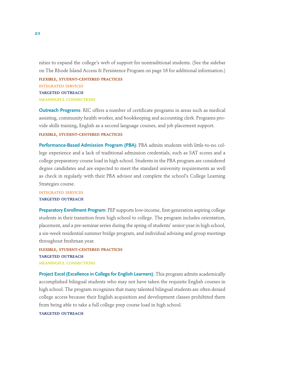nities to expand the college's web of support for nontraditional students. (See the sidebar on The Rhode Island Access & Persistence Program on page 16 for additional information.)

**FLEXIBLE, STUDENT-CENTERED PRACTICES INTEGRATED SERVICES TARGETED OUTREACH MEANINGFUL CONNECTIONS**

**Outreach Programs**: RIC offers a number of certificate programs in areas such as medical assisting, community health worker, and bookkeeping and accounting clerk. Programs provide skills training, English as a second language courses, and job placement support.

**FLEXIBLE, STUDENT-CENTERED PRACTICES**

**Performance-Based Admission Program (PBA)**: PBA admits students with little-to-no college experience and a lack of traditional admission credentials, such as SAT scores and a college preparatory course load in high school. Students in the PBA program are considered degree candidates and are expected to meet the standard university requirements as well as check in regularly with their PBA advisor and complete the school's College Learning Strategies course.

**INTEGRATED SERVICES TARGETED OUTREACH**

**Preparatory Enrollment Program**: PEP supports low-income, first-generation aspiring college students in their transition from high school to college. The program includes orientation, placement, and a pre-seminar series during the spring of students' senior year in high school, a six-week residential summer bridge program, and individual advising and group meetings throughout freshman year.

**FLEXIBLE, STUDENT-CENTERED PRACTICES TARGETED OUTREACH MEANINGFUL CONNECTIONS**

**Project Excel (Excellence in College for English Learners)**: This program admits academically accomplished bilingual students who may not have taken the requisite English courses in high school. The program recognizes that many talented bilingual students are often denied college access because their English acquisition and development classes prohibited them from being able to take a full college prep course load in high school.

#### **TARGETED OUTREACH**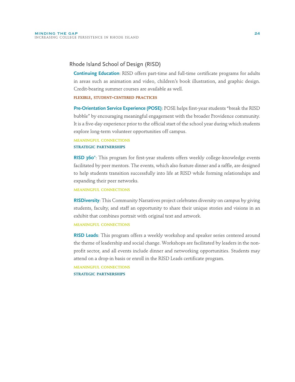## Rhode Island School of Design (RISD)

**Continuing Education**: RISD offers part-time and full-time certificate programs for adults in areas such as animation and video, children's book illustration, and graphic design. Credit-bearing summer courses are available as well.

#### **FLEXIBLE, STUDENT-CENTERED PRACTICES**

**Pre-Orientation Service Experience (POSE)**: POSE helps first-year students "break the RISD bubble" by encouraging meaningful engagement with the broader Providence community. It is a five-day experience prior to the official start of the school year during which students explore long-term volunteer opportunities off campus.

#### **MEANINGFUL CONNECTIONS STRATEGIC PARTNERSHIPS**

**RISD 360°**: This program for first-year students offers weekly college-knowledge events facilitated by peer mentors. The events, which also feature dinner and a raffle, are designed to help students transition successfully into life at RISD while forming relationships and expanding their peer networks.

**MEANINGFUL CONNECTIONS**

**RISDiversity**: This Community Narratives project celebrates diversity on campus by giving students, faculty, and staff an opportunity to share their unique stories and visions in an exhibit that combines portrait with original text and artwork.

#### **MEANINGFUL CONNECTIONS**

**RISD Leads**: This program offers a weekly workshop and speaker series centered around the theme of leadership and social change. Workshops are facilitated by leaders in the nonprofit sector, and all events include dinner and networking opportunities. Students may attend on a drop-in basis or enroll in the RISD Leads certificate program.

**MEANINGFUL CONNECTIONS STRATEGIC PARTNERSHIPS**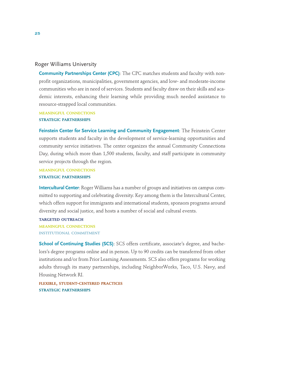## Roger Williams University

**Community Partnerships Center (CPC)**: The CPC matches students and faculty with nonprofit organizations, municipalities, government agencies, and low- and moderate-income communities who are in need of services. Students and faculty draw on their skills and academic interests, enhancing their learning while providing much needed assistance to resource-strapped local communities.

**MEANINGFUL CONNECTIONS**

**STRATEGIC PARTNERSHIPS**

**Feinstein Center for Service Learning and Community Engagement**: The Feinstein Center supports students and faculty in the development of service-learning opportunities and community service initiatives. The center organizes the annual Community Connections Day, during which more than 1,500 students, faculty, and staff participate in community service projects through the region.

**MEANINGFUL CONNECTIONS STRATEGIC PARTNERSHIPS**

**Intercultural Center**: Roger Williams has a number of groups and initiatives on campus committed to supporting and celebrating diversity. Key among them is the Intercultural Center, which offers support for immigrants and international students, sponsors programs around diversity and social justice, and hosts a number of social and cultural events.

**TARGETED OUTREACH MEANINGFUL CONNECTIONS INSTITUTIONAL COMMITMENT**

**School of Continuing Studies (SCS)**: SCS offers certificate, associate's degree, and bachelors's degree programs online and in person. Up to 90 credits can be transferred from other institutions and/or from Prior Learning Assessments. SCS also offers programs for working adults through its many partnerships, including NeighborWorks, Taco, U.S. Navy, and Housing Network RI.

**FLEXIBLE, STUDENT-CENTERED PRACTICES STRATEGIC PARTNERSHIPS**

25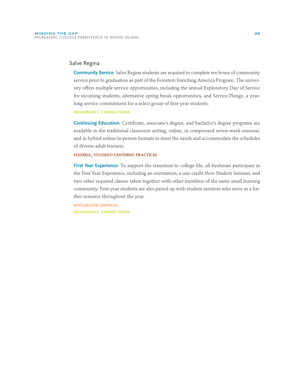## Salve Regina

**Community Service**: Salve Regina students are required to complete ten hours of community service prior to graduation as part of the Feinstein Enriching America Program. The university offers multiple service opportunities, including the annual Exploratory Day of Service for incoming students, alternative spring break opportunities, and Service Plunge, a yearlong service commitment for a select group of first-year students.

#### **MEANINGFUL CONNECTIONS**

**Continuing Education**: Certificate, associate's degree, and bachelor's degree programs are available in the traditional classroom setting, online, in compressed seven-week sessions, and in hybrid online/in-person formats to meet the needs and accommodate the schedules of diverse adult learners.

#### **FLEXIBLE, STUDENT-CENTERED PRACTICES**

**First Year Experience**: To support the transition to college life, all freshman participate in the First Year Experience, including an orientation, a one-credit New Student Seminar, and two other required classes taken together with other members of the same small learning community. First-year students are also paired up with student mentors who serve as a further resource throughout the year.

**INTEGRATED SERVICES MEANINGFUL CONNECTIONS**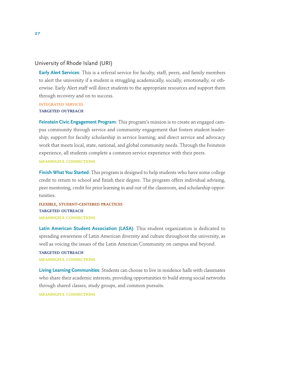## University of Rhode Island (URI)

**Early Alert Services**: This is a referral service for faculty, staff, peers, and family members to alert the university if a student is struggling academically, socially, emotionally, or otherwise. Early Alert staff will direct students to the appropriate resources and support them through recovery and on to success.

#### **INTEGRATED SERVICES**

#### **TARGETED OUTREACH**

**Feinstein Civic Engagement Program**: This program's mission is to create an engaged campus community through service and community engagement that fosters student leadership; support for faculty scholarship in service learning; and direct service and advocacy work that meets local, state, national, and global community needs. Through the Feinstein experience, all students complete a common service experience with their peers. **MEANINGFUL CONNECTIONS**

**Finish What You Started**: This program is designed to help students who have some college credit to return to school and finish their degree. The program offers individual advising, peer mentoring, credit for prior learning in and out of the classroom, and scholarship opportunities.

## **FLEXIBLE, STUDENT-CENTERED PRACTICES TARGETED OUTREACH MEANINGFUL CONNECTIONS**

**Latin American Student Association (LASA)**: This student organization is dedicated to spreading awareness of Latin American diversity and culture throughout the university, as well as voicing the issues of the Latin American Community on campus and beyond.

#### **TARGETED OUTREACH MEANINGFUL CONNECTIONS**

**Living Learning Communities**: Students can choose to live in residence halls with classmates who share their academic interests, providing opportunities to build strong social networks through shared classes, study groups, and common pursuits.

**MEANINGFUL CONNECTIONS**

27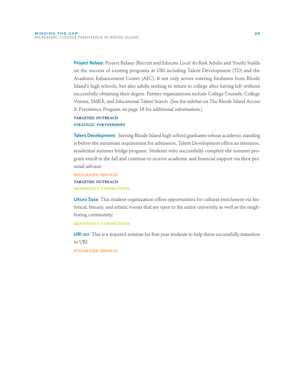**Project Relaay**: Project Relaay (Recruit and Educate Local At-Risk Adults and Youth) builds on the success of existing programs at URI including Talent Development (TD) and the Academic Enhancement Center (AEC). It not only serves entering freshmen from Rhode Island's high schools, but also adults seeking to return to college after having left without successfully obtaining their degree. Partner organizations include College Crusade, College Visions, SMILE, and Educational Talent Search. (See the sidebar on The Rhode Island Access & Persistence Program on page 16 for additional information.)

#### **TARGETED OUTREACH STRATEGIC PARTNERSHIPS**

**Talent Development**: Serving Rhode Island high school graduates whose academic standing is below the minimum requirement for admission, Talent Development offers an intensive, residential summer bridge program. Students who successfully complete the summer program enroll in the fall and continue to receive academic and financial support via their personal advisor.

## **INTEGRATED SERVICES TARGETED OUTREACH MEANINGFUL CONNECTIONS**

**Uhuru Sasa**: This student organization offers opportunities for cultural enrichment via historical, literary, and artistic events that are open to the entire university as well as the neighboring community.

#### **MEANINGFUL CONNECTIONS**

**URI 101**: This is a required seminar for first year students to help them successfully transition to URI.

**INTEGRATED SERVICES**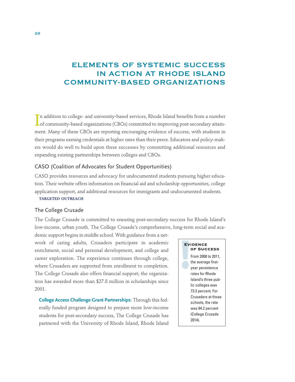# ELEMENTS OF SYSTEMIC SUCCESS IN ACTION AT RHODE ISLAND COMMUNITY-BASED ORGANIZATIONS

In addition to college- and university-based services, Rhode Island benefits from a number<br>of community-based organizations (CBOs) committed to improving post-secondary attainn addition to college- and university-based services, Rhode Island benefits from a number ment. Many of these CBOs are reporting encouraging evidence of success, with students in their programs earning credentials at higher rates than their peers. Educators and policy-makers would do well to build upon these successes by committing additional resources and expanding existing partnerships between colleges and CBOs.

## CASO (Coalition of Advocates for Student Opportunities)

CASO provides resources and advocacy for undocumented students pursuing higher education. Their website offers information on financial aid and scholarship opportunities, college application support, and additional resources for immigrants and undocumented students.

## **TARGETED OUTREACH**

#### The College Crusade

The College Crusade is committed to ensuring post-secondary success for Rhode Island's low-income, urban youth. The College Crusade's comprehensive, long-term social and aca-

demic support begins in middle school. With guidance from a network of caring adults, Crusaders participate in academic enrichment, social and personal development, and college and career exploration. The experience continues through college, where Crusaders are supported from enrollment to completion. The College Crusade also offers financial support; the organization has awarded more than \$27.8 million in scholarships since 2001.

**College Access Challenge Grant Partnerships**: Through this federally funded program designed to prepare more low-income students for post-secondary success, The College Crusade has partnered with the University of Rhode Island, Rhode Island

# **EV EVIDENCE OF SUCCESS**

From 2008 to 2011, the average firstyear persistence rates for Rhode Island's three public colleges was 73.3 percent. For Crusaders at those schools, the rate was 84.2 percent (College Crusade 2014).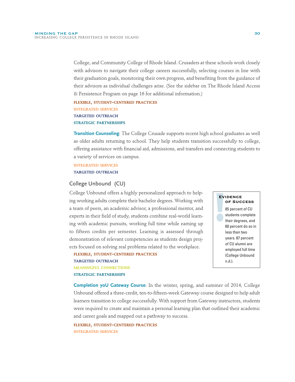College, and Community College of Rhode Island. Crusaders at these schools work closely with advisors to navigate their college careers successfully, selecting courses in line with their graduation goals, monitoring their own progress, and benefiting from the guidance of their advisors as individual challenges arise. (See the sidebar on The Rhode Island Access & Persistence Program on page 16 for additional information.)

**FLEXIBLE, STUDENT-CENTERED PRACTICES INTEGRATED SERVICES TARGETED OUTREACH STRATEGIC PARTNERSHIPS**

**Transition Counseling**: The College Crusade supports recent high school graduates as well as older adults returning to school. They help students transition successfully to college, offering assistance with financial aid, admissions, and transfers and connecting students to a variety of services on campus.

#### **INTEGRATED SERVICES TARGETED OUTREACH**

## College Unbound (CU)

College Unbound offers a highly personalized approach to helping working adults complete their bachelor degrees. Working with a team of peers, an academic advisor, a professional mentor, and experts in their field of study, students combine real-world learning with academic pursuits, working full time while earning up to fifteen credits per semester. Learning is assessed through demonstration of relevant competencies as students design projects focused on solving real problems related to the workplace.

**TARGETED OUTREACH MEANINGFUL CONNECTIONS STRATEGIC PARTNERSHIPS**

**FLEXIBLE, STUDENT-CENTERED PRACTICES**

**EV** 85 percent of CU students complete their degrees, and 60 percent do so in less than two years. 87 percent of CU alumni are employed full time (College Unbound n.d.).

**OF SUCCESS**

**EVIDENCE**

**Completion yoU Gateway Course**: In the winter, spring, and summer of 2014, College Unbound offered a three-credit, ten-to-fifteen-week Gateway course designed to help adult learners transition to college successfully. With support from Gateway instructors, students were required to create and maintain a personal learning plan that outlined their academic and career goals and mapped out a pathway to success.

**FLEXIBLE, STUDENT-CENTERED PRACTICES INTEGRATED SERVICES**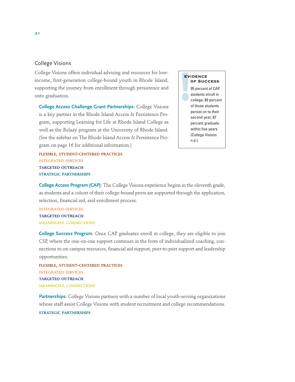## College Visions

College Visions offers individual advising and resources for lowincome, first-generation college-bound youth in Rhode Island, supporting the journey from enrollment through persistence and onto graduation.

**College Access Challenge Grant Partnerships**: College Visions is a key partner in the Rhode Island Access & Persistence Program, supporting Learning for Life at Rhode Island College as well as the Relaay program at the University of Rhode Island. (See the sidebar on The Rhode Island Access & Persistence Program on page 16 for additional information.)

**FLEXIBLE, STUDENT-CENTERED PRACTICES INTEGRATED SERVICES TARGETED OUTREACH STRATEGIC PARTNERSHIPS**

#### **EVIDENCE OF SUCCESS**

**EV** 95 percent of CAP students enroll in college; 89 percent of those students persist on to their second year; 67 percent graduate within five years (College Visions n.d.).

**College Access Program (CAP)**: The College Visions experience begins in the eleventh grade, as students and a cohort of their college-bound peers are supported through the application, selection, financial aid, and enrollment process.

**INTEGRATED SERVICES TARGETED OUTREACH MEANINGFUL CONNECTIONS**

**College Success Program**: Once CAP graduates enroll in college, they are eligible to join CSP, where the one-on-one support continues in the form of individualized coaching, connections to on-campus resources, financial aid support, peer-to-peer support and leadership opportunities.

**FLEXIBLE, STUDENT-CENTERED PRACTICES INTEGRATED SERVICES TARGETED OUTREACH MEANINGFUL CONNECTIONS**

**Partnerships**: College Visions partners with a number of local youth-serving organizations whose staff assist College Visions with student recruitment and college recommendations.

#### **STRATEGIC PARTNERSHIPS**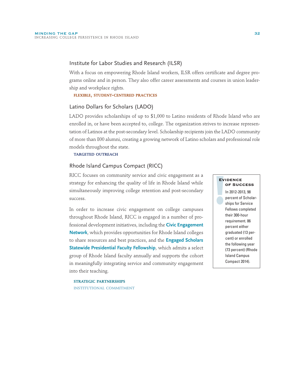## Institute for Labor Studies and Research (ILSR)

With a focus on empowering Rhode Island workers, ILSR offers certificate and degree programs online and in person. They also offer career assessments and courses in union leadership and workplace rights.

**FLEXIBLE, STUDENT-CENTERED PRACTICES**

#### Latino Dollars for Scholars (LADO)

LADO provides scholarships of up to \$1,000 to Latino residents of Rhode Island who are enrolled in, or have been accepted to, college. The organization strives to increase representation of Latinos at the post-secondary level. Scholarship recipients join the LADO community of more than 800 alumni, creating a growing network of Latino scholars and professional role models throughout the state.

**TARGETED OUTREACH**

#### Rhode Island Campus Compact (RICC)

RICC focuses on community service and civic engagement as a strategy for enhancing the quality of life in Rhode Island while simultaneously improving college retention and post-secondary success.

In order to increase civic engagement on college campuses throughout Rhode Island, RICC is engaged in a number of professional development initiatives, including the **Civic Engagement Network**, which provides opportunities for Rhode Island colleges to share resources and best practices, and the **Engaged Scholars Statewide Presidential Faculty Fellowship**, which admits a select group of Rhode Island faculty annually and supports the cohort in meaningfully integrating service and community engagement into their teaching.

**EV** In 2012-2013, 98 percent of Scholarships for Service Fellows completed their 300-hour requirement. 86 percent either graduated (13 percent) or enrolled the following year (73 percent) (Rhode Island Campus Compact 2014). **EVIDENCE OF SUCCESS**

**STRATEGIC PARTNERSHIPS INSTITUTIONAL COMMITMENT**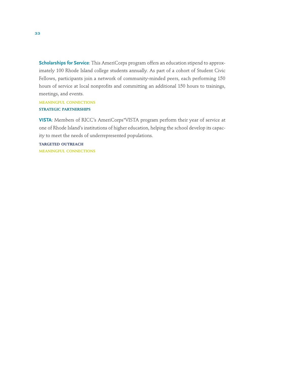**Scholarships for Service**: This AmeriCorps program offers an education stipend to approximately 100 Rhode Island college students annually. As part of a cohort of Student Civic Fellows, participants join a network of community-minded peers, each performing 150 hours of service at local nonprofits and committing an additional 150 hours to trainings, meetings, and events.

**MEANINGFUL CONNECTIONS STRATEGIC PARTNERSHIPS**

**VISTA**: Members of RICC's AmeriCorps\*VISTA program perform their year of service at one of Rhode Island's institutions of higher education, helping the school develop its capacity to meet the needs of underrepresented populations.

**TARGETED OUTREACH MEANINGFUL CONNECTIONS**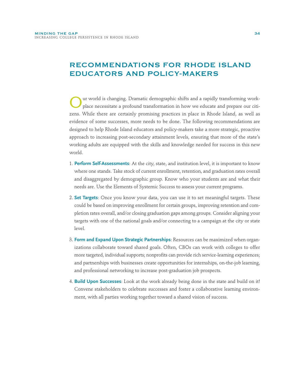# RECOMMENDATIONS FOR RHODE ISLAND EDUCATORS AND POLICY-MAKERS

Our world is changing. Dramatic demographic shifts and a rapidly transforming work-place necessitate a profound transformation in how we educate and prepare our citizens. While there are certainly promising practices in place in Rhode Island, as well as evidence of some successes, more needs to be done. The following recommendations are designed to help Rhode Island educators and policy-makers take a more strategic, proactive approach to increasing post-secondary attainment levels, ensuring that more of the state's working adults are equipped with the skills and knowledge needed for success in this new world.

- 1. **Perform Self-Assessments**: At the city, state, and institution level, it is important to know where one stands. Take stock of current enrollment, retention, and graduation rates overall and disaggregated by demographic group. Know who your students are and what their needs are. Use the Elements of Systemic Success to assess your current programs.
- 2. **Set Targets**: Once you know your data, you can use it to set meaningful targets. These could be based on improving enrollment for certain groups, improving retention and completion rates overall, and/or closing graduation gaps among groups. Consider aligning your targets with one of the national goals and/or connecting to a campaign at the city or state level.
- 3. **Form and Expand Upon Strategic Partnerships**: Resources can be maximized when organizations collaborate toward shared goals. Often, CBOs can work with colleges to offer more targeted, individual supports; nonprofits can provide rich service-learning experiences; and partnerships with businesses create opportunities for internships, on-the-job learning, and professional networking to increase post-graduation job prospects.
- 4. **Build Upon Successes**: Look at the work already being done in the state and build on it! Convene stakeholders to celebrate successes and foster a collaborative learning environment, with all parties working together toward a shared vision of success.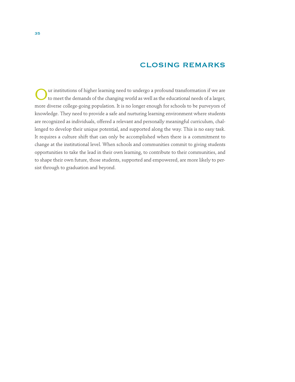## CLOSING REMARKS

UUR IN INCORRECT THE UP TO MELTA THE UP TO MELTA THE UP TO MELTA THE UP TO MELTA THE UP TO MELTA THE UP TO MELTA THE UP TO MELTA THE UP TO MELTA THE UP TO MELTA THE UP TO MELTA THE UP TO MELTA THE UP TO MELTA THE UP TO MEL more diverse college-going population. It is no longer enough for schools to be purveyors of knowledge. They need to provide a safe and nurturing learning environment where students are recognized as individuals, offered a relevant and personally meaningful curriculum, challenged to develop their unique potential, and supported along the way. This is no easy task. It requires a culture shift that can only be accomplished when there is a commitment to change at the institutional level. When schools and communities commit to giving students opportunities to take the lead in their own learning, to contribute to their communities, and to shape their own future, those students, supported and empowered, are more likely to persist through to graduation and beyond.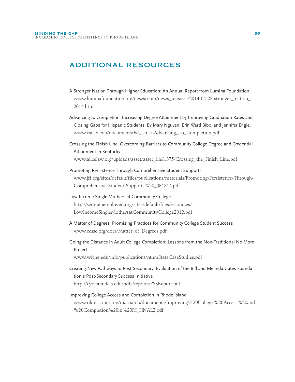## ADDITIONAL RESOURCES

- A Stronger Nation Through Higher Education: An Annual Report from Lumina Foundation www.luminafoundation.org/newsroom/news\_releases/2014-04-22-stronger\_ nation\_ 2014.html
- Advancing to Completion: Increasing Degree Attainment by Improving Graduation Rates and Closing Gaps for Hispanic Students. By Mary Nguyen, Erin Ward Bibo, and Jennifer Engle. www.csusb.edu/documents/Ed\_Trust-Advancing\_To\_Completion.pdf
- Crossing the Finish Line: Overcoming Barriers to Community College Degree and Credential Attainment in Kentucky www.alicelaw.org/uploads/asset/asset\_file/1375/Crossing\_the\_Finish\_Line.pdf
- Promoting Persistence Through Comprehensive Student Supports www.jff.org/sites/default/files/publications/materials/Promoting-Persistence-Through-Comprehensive-Student-Supports%20\_031814.pdf
- Low Income Single Mothers at Community College http://womenemployed.org/sites/default/files/resources/ LowIncomeSingleMothersatCommunityCollege2012.pdf
- A Matter of Degrees: Promising Practices for Community College Student Success www.ccsse.org/docs/Matter\_of\_Degrees.pdf
- Going the Distance in Adult College Completion: Lessons from the Non-Traditional No More Project

www.wiche.edu/info/publications/ntnmStateCaseStudies.pdf

- Creating New Pathways to Post-Secondary: Evaluation of the Bill and Melinda Gates Foundation's Post-Secondary Success Initiative http://cyc.brandeis.edu/pdfs/reports/PSSReport.pdf
- Improving College Access and Completion in Rhode Island www.rikidscount.org/matriarch/documents/Improving%20College%20Access%20and %20Completion%20in%20RI\_FINAL2.pdf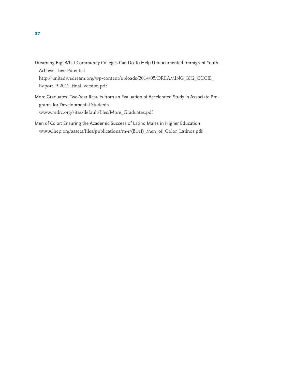Dreaming Big: What Community Colleges Can Do To Help Undocumented Immigrant Youth Achieve Their Potential

http://unitedwedream.org/wp-content/uploads/2014/05/DREAMING\_BIG\_CCCIE\_ Report\_9-2012\_final\_version.pdf

- More Graduates: Two-Year Results from an Evaluation of Accelerated Study in Associate Programs for Developmental Students www.mdrc.org/sites/default/files/More\_Graduates.pdf
- Men of Color: Ensuring the Academic Success of Latino Males in Higher Education www.ihep.org/assets/files/publications/m-r/(Brief)\_Men\_of\_Color\_Latinos.pdf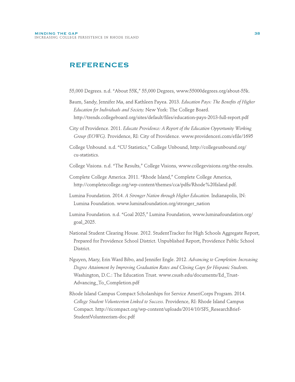## REFERENCES

55,000 Degrees. n.d. "About 55K," 55,000 Degrees, www.55000degrees.org/about-55k.

- Baum, Sandy, Jennifer Ma, and Kathleen Payea. 2013. *Education Pays: The Benefits of Higher Education for Individuals and Society.* New York: The College Board. http://trends.collegeboard.org/sites/default/files/education-pays-2013-full-report.pdf
- City of Providence. 2011. *Educate Providence: A Report of the Education Opportunity Working Group (EOWG).* Providence, RI: City of Providence. www.providenceri.com/efile/1695
- College Unbound. n.d. "CU Statistics," College Unbound, http://collegeunbound.org/ cu-statistics.
- College Visions. n.d. "The Results," College Visions, www.collegevisions.org/the-results.
- Complete College America. 2011. "Rhode Island," Complete College America, http://completecollege.org/wp-content/themes/cca/pdfs/Rhode%20Island.pdf.
- Lumina Foundation. 2014. *A Stronger Nation through Higher Education.* Indianapolis, IN: Lumina Foundation. www.luminafoundation.org/stronger\_nation
- Lumina Foundation. n.d. "Goal 2025," Lumina Foundation, www.luminafoundation.org/ goal\_2025.
- National Student Clearing House. 2012. StudentTracker for High Schools Aggregate Report, Prepared for Providence School District. Unpublished Report, Providence Public School District.
- Nguyen, Mary, Erin Ward Bibo, and Jennifer Engle. 2012. *Advancing to Completion: Increasing Degree Attainment by Improving Graduation Rates and Closing Gaps for Hispanic Students.* Washington, D.C.: The Education Trust. www.csusb.edu/documents/Ed\_Trust-Advancing\_To\_Completion.pdf
- Rhode Island Campus Compact Scholarships for Service AmeriCorps Program. 2014. *College Student Volunteerism Linked to Success.* Providence, RI: Rhode Island Campus Compact. http://ricompact.org/wp-content/uploads/2014/10/SFS\_ResearchBrief-StudentVolunteerism-doc.pdf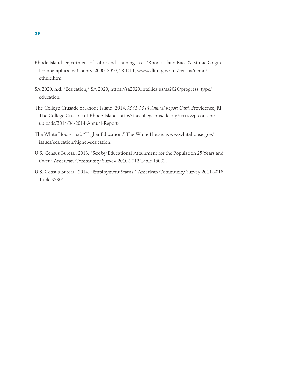- Rhode Island Department of Labor and Training. n.d. "Rhode Island Race & Ethnic Origin Demographics by County, 2000–2010," RIDLT, www.dlt.ri.gov/lmi/census/demo/ ethnic.htm.
- SA 2020. n.d. "Education," SA 2020, https://sa2020.intellica.us/sa2020/progress\_type/ education.
- The College Crusade of Rhode Island. 2014. *2013-2014 Annual Report Card.* Providence, RI: The College Crusade of Rhode Island. http://thecollegecrusade.org/tccri/wp-content/ uploads/2014/04/2014-Annual-Report-
- The White House. n.d. "Higher Education," The White House, www.whitehouse.gov/ issues/education/higher-education.
- U.S. Census Bureau. 2013. "Sex by Educational Attainment for the Population 25 Years and Over." American Community Survey 2010-2012 Table 15002.
- U.S. Census Bureau. 2014. "Employment Status." American Community Survey 2011-2013 Table S2301.